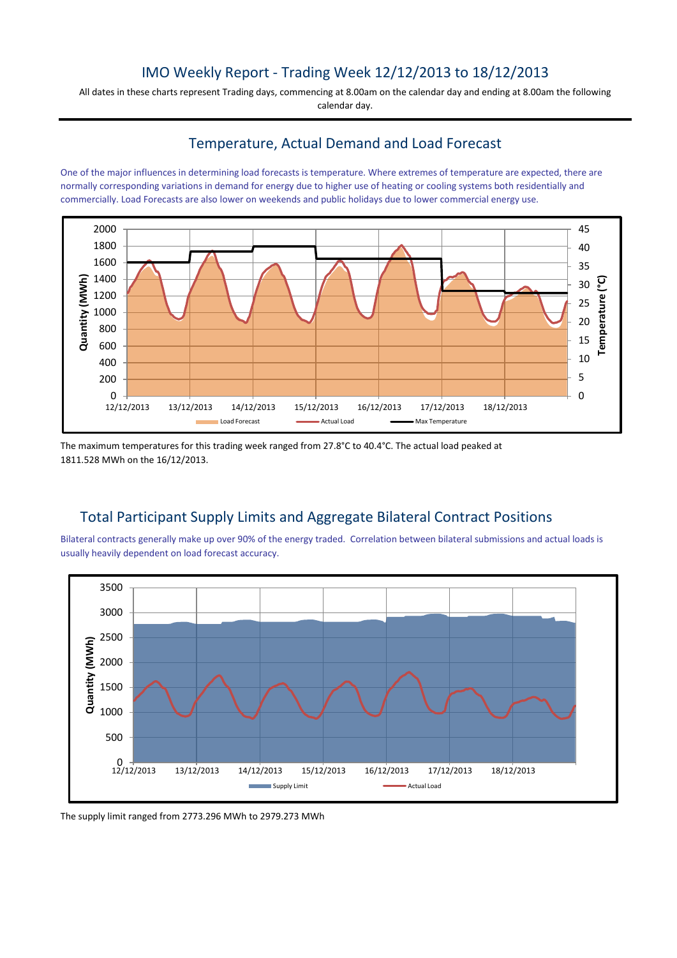# IMO Weekly Report - Trading Week 12/12/2013 to 18/12/2013

All dates in these charts represent Trading days, commencing at 8.00am on the calendar day and ending at 8.00am the following calendar day.

## Temperature, Actual Demand and Load Forecast

One of the major influences in determining load forecasts is temperature. Where extremes of temperature are expected, there are normally corresponding variations in demand for energy due to higher use of heating or cooling systems both residentially and commercially. Load Forecasts are also lower on weekends and public holidays due to lower commercial energy use.



The maximum temperatures for this trading week ranged from 27.8°C to 40.4°C. The actual load peaked at 1811.528 MWh on the 16/12/2013.

# Total Participant Supply Limits and Aggregate Bilateral Contract Positions

Bilateral contracts generally make up over 90% of the energy traded. Correlation between bilateral submissions and actual loads is usually heavily dependent on load forecast accuracy.



The supply limit ranged from 2773.296 MWh to 2979.273 MWh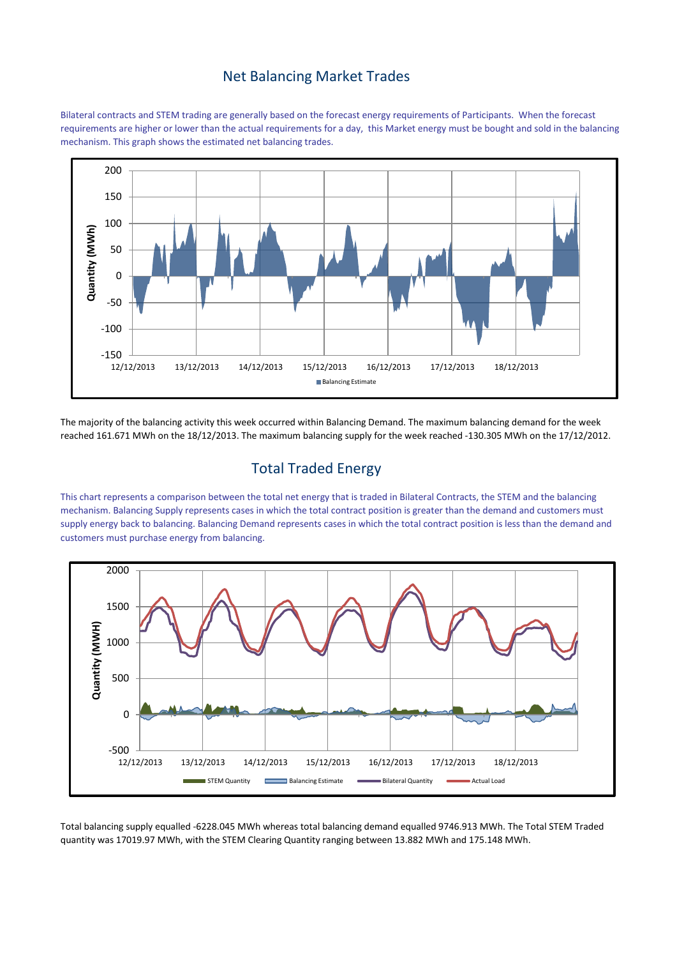#### Net Balancing Market Trades

Bilateral contracts and STEM trading are generally based on the forecast energy requirements of Participants. When the forecast requirements are higher or lower than the actual requirements for a day, this Market energy must be bought and sold in the balancing mechanism. This graph shows the estimated net balancing trades.



The majority of the balancing activity this week occurred within Balancing Demand. The maximum balancing demand for the week reached 161.671 MWh on the 18/12/2013. The maximum balancing supply for the week reached -130.305 MWh on the 17/12/2012.

## Total Traded Energy

This chart represents a comparison between the total net energy that is traded in Bilateral Contracts, the STEM and the balancing mechanism. Balancing Supply represents cases in which the total contract position is greater than the demand and customers must supply energy back to balancing. Balancing Demand represents cases in which the total contract position is less than the demand and customers must purchase energy from balancing.



Total balancing supply equalled -6228.045 MWh whereas total balancing demand equalled 9746.913 MWh. The Total STEM Traded quantity was 17019.97 MWh, with the STEM Clearing Quantity ranging between 13.882 MWh and 175.148 MWh.